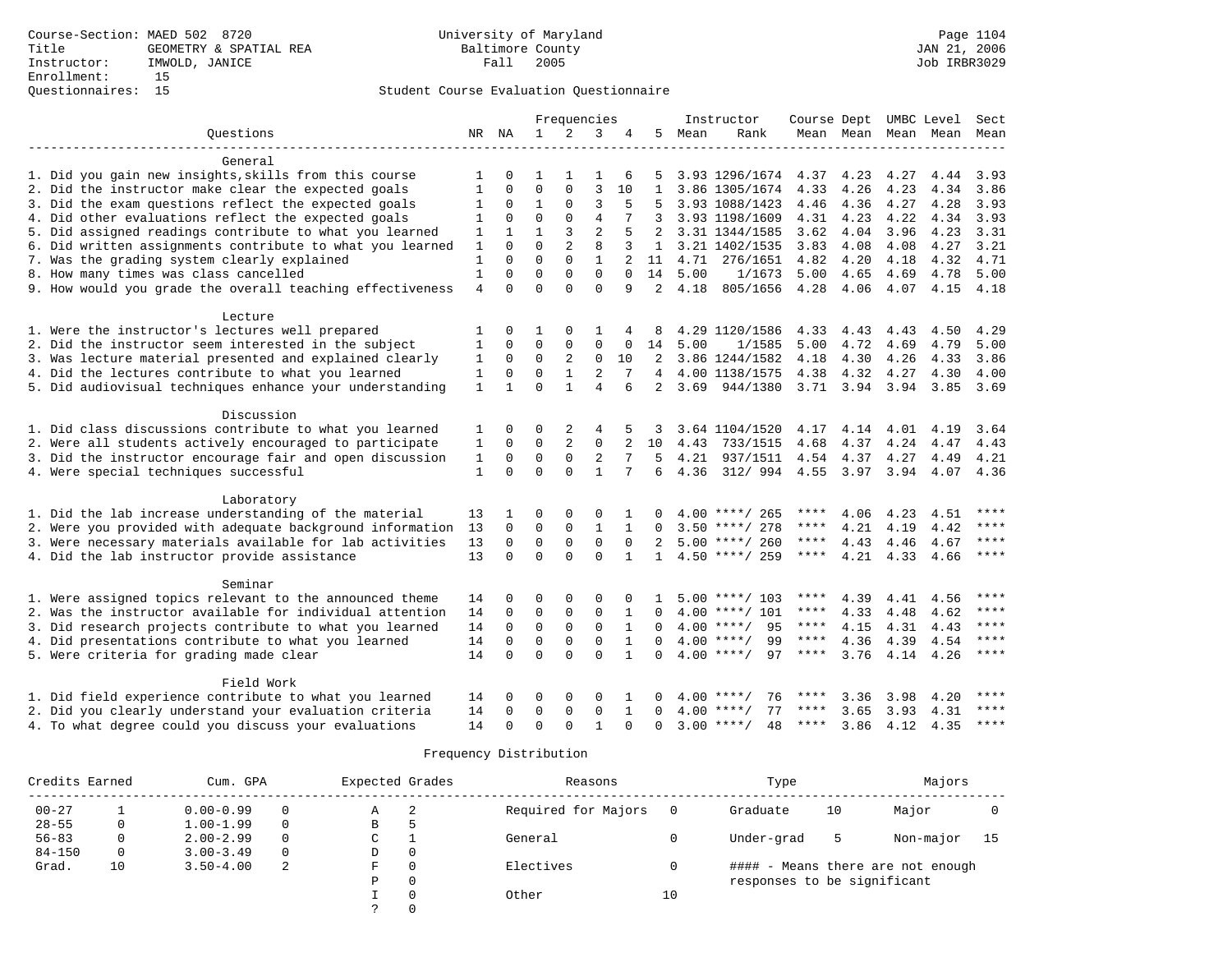### Student Course Evaluation Questionnaire

|                                                           |                |              | Frequencies  |                |                |              | Instructor     |      |                    | Course Dept |           | UMBC Level          |      | Sect        |
|-----------------------------------------------------------|----------------|--------------|--------------|----------------|----------------|--------------|----------------|------|--------------------|-------------|-----------|---------------------|------|-------------|
| Ouestions                                                 |                | NR NA        | $\mathbf{1}$ | $\overline{2}$ | 3              | 4            | 5.             | Mean | Rank               |             |           | Mean Mean Mean Mean |      | Mean        |
|                                                           |                |              |              |                |                |              |                |      |                    |             |           |                     |      |             |
| General                                                   |                |              |              |                |                |              |                |      |                    |             |           |                     |      |             |
| 1. Did you gain new insights, skills from this course     | 1              | $\Omega$     |              |                | 1              | 6            | 5              |      | 3.93 1296/1674     | 4.37        | 4.23      | 4.27                | 4.44 | 3.93        |
| 2. Did the instructor make clear the expected goals       | 1              | $\Omega$     | $\Omega$     | $\Omega$       | 3              | 10           | $\mathbf{1}$   |      | 3.86 1305/1674     | 4.33        | 4.26      | 4.23                | 4.34 | 3.86        |
| 3. Did the exam questions reflect the expected goals      | 1              | 0            | $\mathbf{1}$ | $\Omega$       | 3              | 5            |                |      | 3.93 1088/1423     | 4.46        | 4.36      | 4.27                | 4.28 | 3.93        |
| 4. Did other evaluations reflect the expected goals       | $\mathbf{1}$   | 0            | $\Omega$     | $\Omega$       | $\overline{4}$ | 7            | 3              |      | 3.93 1198/1609     | 4.31        | 4.23      | 4.22                | 4.34 | 3.93        |
| 5. Did assigned readings contribute to what you learned   | 1              | 1            | $\mathbf{1}$ | 3              | $\overline{2}$ | 5            | $\overline{2}$ |      | 3.31 1344/1585     | 3.62        | 4.04      | 3.96                | 4.23 | 3.31        |
| 6. Did written assignments contribute to what you learned | 1              | $\Omega$     | $\Omega$     | $\overline{2}$ | 8              | 3            | $\mathbf{1}$   |      | 3.21 1402/1535     | 3.83        | 4.08      | 4.08                | 4.27 | 3.21        |
| 7. Was the grading system clearly explained               | $\mathbf{1}$   | $\Omega$     | $\Omega$     | $\Omega$       | $\mathbf{1}$   |              | 11             | 4.71 | 276/1651           | 4.82        | 4.20      | 4.18                | 4.32 | 4.71        |
| 8. How many times was class cancelled                     | $\mathbf{1}$   | $\Omega$     | $\Omega$     | $\Omega$       | $\Omega$       | $\Omega$     | 14             | 5.00 | 1/1673             | 5.00        | 4.65      | 4.69                | 4.78 | 5.00        |
| 9. How would you grade the overall teaching effectiveness | $\overline{4}$ | $\Omega$     | $\Omega$     | $\Omega$       | $\Omega$       | 9            | $\mathfrak{D}$ | 4.18 | 805/1656           | 4.28        | 4.06      | 4.07                | 4.15 | 4.18        |
|                                                           |                |              |              |                |                |              |                |      |                    |             |           |                     |      |             |
| Lecture                                                   |                |              |              |                |                |              |                |      |                    |             |           |                     |      |             |
| 1. Were the instructor's lectures well prepared           | 1              | 0            | 1            | $\Omega$       | 1              |              |                |      | 4.29 1120/1586     | 4.33        | 4.43      | 4.43                | 4.50 | 4.29        |
| 2. Did the instructor seem interested in the subject      | 1              | $\Omega$     | $\Omega$     | $\Omega$       | $\mathbf 0$    | 0            | 14             | 5.00 | 1/1585             | 5.00        | 4.72      | 4.69                | 4.79 | 5.00        |
| 3. Was lecture material presented and explained clearly   | 1              | 0            | 0            | 2              | $\mathbf 0$    | 10           | 2              |      | 3.86 1244/1582     | 4.18        | 4.30      | 4.26                | 4.33 | 3.86        |
| 4. Did the lectures contribute to what you learned        | $\mathbf{1}$   | 0            | $\Omega$     | $\mathbf{1}$   | 2              | 7            | $\overline{4}$ |      | 4.00 1138/1575     | 4.38        | 4.32      | 4.27                | 4.30 | 4.00        |
| 5. Did audiovisual techniques enhance your understanding  | 1              | $\mathbf{1}$ | $\Omega$     | $\mathbf{1}$   | $\overline{4}$ | 6            | 2              | 3.69 | 944/1380           |             | 3.71 3.94 | 3.94                | 3.85 | 3.69        |
|                                                           |                |              |              |                |                |              |                |      |                    |             |           |                     |      |             |
| Discussion                                                |                |              |              |                |                |              |                |      |                    |             |           |                     |      |             |
| 1. Did class discussions contribute to what you learned   | 1              | O            | 0            | 2              | 4              |              |                |      | 3.64 1104/1520     | 4.17        | 4.14      | 4.01                | 4.19 | 3.64        |
| 2. Were all students actively encouraged to participate   | $\mathbf 1$    | 0            | 0            | 2              | $\mathbf 0$    |              | 10             | 4.43 | 733/1515           | 4.68        | 4.37      | 4.24                | 4.47 | 4.43        |
| 3. Did the instructor encourage fair and open discussion  | $\mathbf{1}$   | 0            | $\mathbf 0$  | 0              | 2              | 7            | 5              | 4.21 | 937/1511           | 4.54        | 4.37      | 4.27                | 4.49 | 4.21        |
| 4. Were special techniques successful                     | $\mathbf{1}$   | $\Omega$     | $\Omega$     | $\Omega$       | $\mathbf{1}$   | 7            | 6              | 4.36 | 312/994            | 4.55        | 3.97      | 3.94                | 4.07 | 4.36        |
|                                                           |                |              |              |                |                |              |                |      |                    |             |           |                     |      |             |
| Laboratory                                                |                |              |              |                |                |              |                |      |                    |             |           |                     |      |             |
| 1. Did the lab increase understanding of the material     | 13             |              | $\Omega$     | $\Omega$       | $\Omega$       |              |                |      | 4.00 ****/ 265     | ****        | 4.06      | 4.23                | 4.51 | ****        |
| 2. Were you provided with adequate background information | 13             | $\Omega$     | $\mathbf 0$  | $\mathbf 0$    | $\mathbf{1}$   | $\mathbf{1}$ | 0              |      | $3.50$ ****/ 278   | ****        | 4.21      | 4.19                | 4.42 | ****        |
| 3. Were necessary materials available for lab activities  | 13             | $\Omega$     | $\mathbf 0$  | $\mathbf 0$    | $\mathbf 0$    | $\Omega$     | $\mathfrak{D}$ |      | $5.00$ ****/ 260   | ****        | 4.43      | 4.46                | 4.67 | ****        |
| 4. Did the lab instructor provide assistance              | 13             | $\Omega$     | $\Omega$     | $\Omega$       | $\Omega$       | 1            | $\mathbf{1}$   |      | $4.50$ ****/ 259   | ****        | 4.21      | 4.33                | 4.66 | $***$ * * * |
|                                                           |                |              |              |                |                |              |                |      |                    |             |           |                     |      |             |
| Seminar                                                   |                |              |              |                |                |              |                |      |                    |             |           |                     |      |             |
| 1. Were assigned topics relevant to the announced theme   | 14             | 0            | 0            | 0              | $\Omega$       | $\Omega$     |                |      | 5.00 ****/ 103     | ****        | 4.39      | 4.41                | 4.56 | ****        |
| 2. Was the instructor available for individual attention  | 14             | 0            | $\Omega$     | 0              | $\mathbf 0$    | 1            | <sup>0</sup>   |      | 4.00 ****/ 101     | ****        | 4.33      | 4.48                | 4.62 | ****        |
|                                                           |                |              |              |                |                |              |                |      | $4.00$ ****/       | ****        |           |                     |      | ****        |
| 3. Did research projects contribute to what you learned   | 14             | 0            | $\mathbf 0$  | $\mathsf 0$    | $\mathsf 0$    | 1            | $\Omega$       |      | 95                 |             | 4.15      | 4.31                | 4.43 | ****        |
| 4. Did presentations contribute to what you learned       | 14             | $\mathbf 0$  | $\mathbf 0$  | $\mathbf 0$    | $\mathbf 0$    | $\mathbf{1}$ | $\Omega$       |      | $4.00$ ****/<br>99 | $***$ * * * | 4.36      | 4.39                | 4.54 |             |
| 5. Were criteria for grading made clear                   | 14             | $\Omega$     | $\Omega$     | $\Omega$       | $\Omega$       | $\mathbf{1}$ | $\Omega$       |      | $4.00$ ****/<br>97 | ****        | 3.76      | 4.14                | 4.26 | $***$       |
|                                                           |                |              |              |                |                |              |                |      |                    |             |           |                     |      |             |
| Field Work                                                |                |              |              |                |                |              |                |      |                    |             |           |                     |      | ****        |
| 1. Did field experience contribute to what you learned    | 14             | 0            | 0            | $\Omega$       | $\Omega$       |              | 0              |      | 76<br>$4.00$ ****/ | ****        | 3.36      | 3.98                | 4.20 |             |
| 2. Did you clearly understand your evaluation criteria    | 14             | $\Omega$     | $\Omega$     | 0              | $\mathbf 0$    | $\mathbf{1}$ | 0              | 4.00 | $***/$<br>77       | ****        | 3.65      | 3.93                | 4.31 | $***$ * * * |
| 4. To what degree could you discuss your evaluations      | 14             | $\Omega$     | $\Omega$     | $\Omega$       | $\mathbf{1}$   | $\Omega$     | $\Omega$       | 3.00 | $***$ /<br>48      | ****        | 3.86      | 4.12                | 4.35 | $***$       |

|            | Credits Earned<br>Cum. GPA |               |          | Expected Grades |          | Reasons             |    | Type                        | Majors |                                   |    |
|------------|----------------------------|---------------|----------|-----------------|----------|---------------------|----|-----------------------------|--------|-----------------------------------|----|
| $00 - 27$  |                            | $0.00 - 0.99$ |          | Α               | -2       | Required for Majors |    | Graduate                    | 10     | Major                             |    |
| $28 - 55$  |                            | $1.00 - 1.99$ | 0        | B               | Þ        |                     |    |                             |        |                                   |    |
| $56 - 83$  |                            | $2.00 - 2.99$ |          | C               |          | General             |    | Under-grad                  | ь      | Non-major                         | 15 |
| $84 - 150$ | $\mathbf{0}$               | $3.00 - 3.49$ | $\Omega$ | D               | 0        |                     |    |                             |        |                                   |    |
| Grad.      | 10                         | $3.50 - 4.00$ | 2        | F               | $\Omega$ | Electives           |    |                             |        | #### - Means there are not enough |    |
|            |                            |               |          | P               | 0        |                     |    | responses to be significant |        |                                   |    |
|            |                            |               |          |                 | $\Omega$ | Other               | 10 |                             |        |                                   |    |
|            |                            |               |          |                 |          |                     |    |                             |        |                                   |    |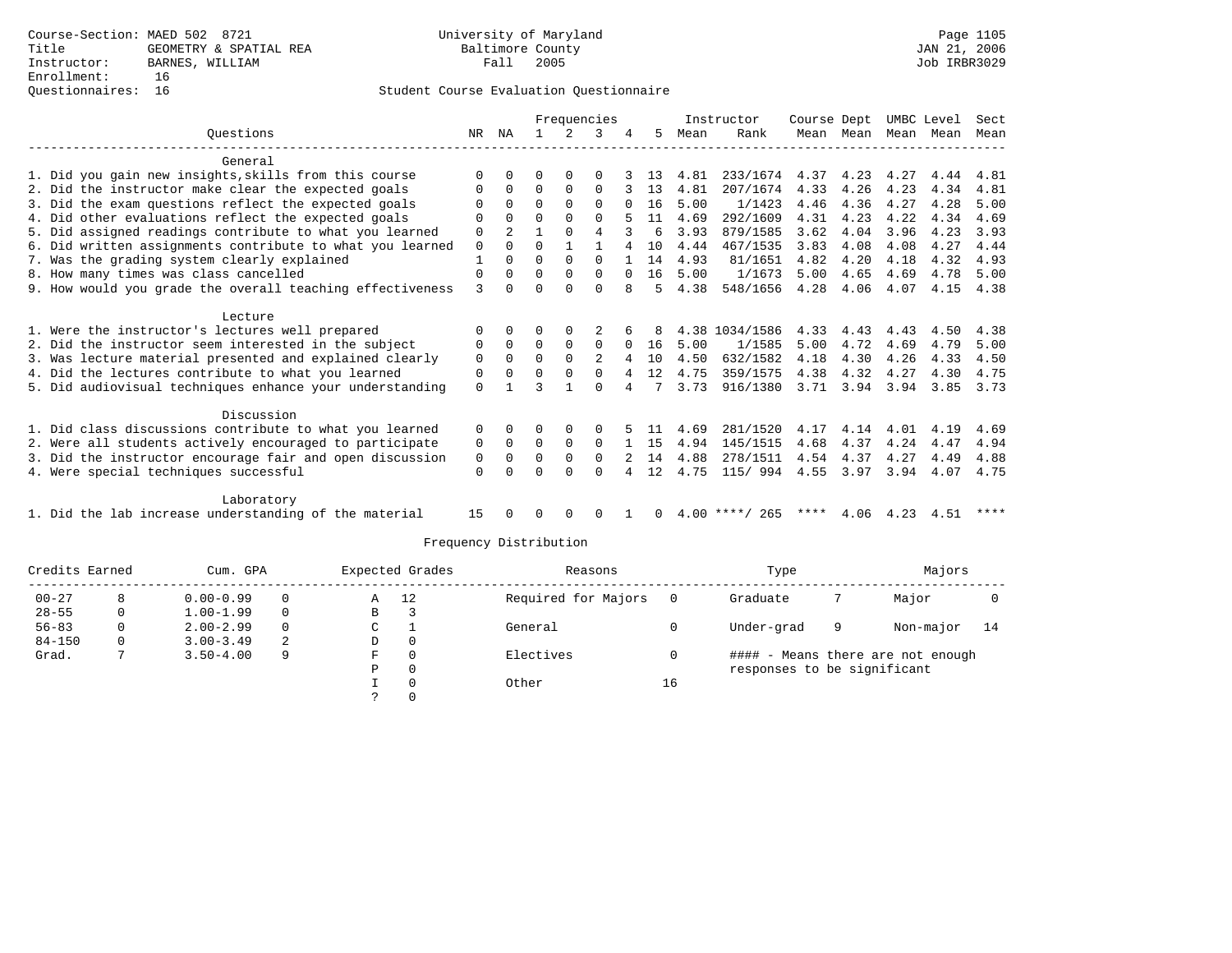## Questionnaires: 16 Student Course Evaluation Questionnaire

|                                                           |             |              | Frequencies |          |          |          | Instructor |      | Course Dept      |      | UMBC Level |           | Sect |      |
|-----------------------------------------------------------|-------------|--------------|-------------|----------|----------|----------|------------|------|------------------|------|------------|-----------|------|------|
| Ouestions                                                 | NR.         | ΝA           |             |          | २        |          | 5.         | Mean | Rank             | Mean | Mean       | Mean      | Mean | Mean |
| General                                                   |             |              |             |          |          |          |            |      |                  |      |            |           |      |      |
| 1. Did you gain new insights, skills from this course     | $\Omega$    |              |             |          |          |          | 13         | 4.81 | 233/1674         | 4.37 | 4.23       | 4.27      | 4.44 | 4.81 |
| 2. Did the instructor make clear the expected goals       |             | $\Omega$     | $\Omega$    | $\Omega$ | $\Omega$ |          | 13         | 4.81 | 207/1674         | 4.33 | 4.26       | 4.23      | 4.34 | 4.81 |
| 3. Did the exam questions reflect the expected goals      |             | $\Omega$     | 0           | $\Omega$ | $\Omega$ | $\Omega$ | 16         | 5.00 | 1/1423           | 4.46 | 4.36       | 4.27      | 4.28 | 5.00 |
| 4. Did other evaluations reflect the expected goals       | O           | $\Omega$     | $\Omega$    | $\Omega$ | $\Omega$ |          | 11         | 4.69 | 292/1609         | 4.31 | 4.23       | 4.22      | 4.34 | 4.69 |
| 5. Did assigned readings contribute to what you learned   | $\mathbf 0$ |              |             | $\Omega$ | 4        |          | 6          | 3.93 | 879/1585         | 3.62 | 4.04       | 3.96      | 4.23 | 3.93 |
| 6. Did written assignments contribute to what you learned | $\mathbf 0$ | $\Omega$     | $\Omega$    |          |          | 4        | 10         | 4.44 | 467/1535         | 3.83 | 4.08       | 4.08      | 4.27 | 4.44 |
| 7. Was the grading system clearly explained               |             | $\Omega$     | $\Omega$    | $\Omega$ | $\Omega$ |          | 14         | 4.93 | 81/1651          | 4.82 | 4.20       | 4.18      | 4.32 | 4.93 |
| 8. How many times was class cancelled                     | 0           | $\Omega$     | $\Omega$    | $\Omega$ | $\Omega$ | $\Omega$ | 16         | 5.00 | 1/1673           | 5.00 | 4.65       | 4.69      | 4.78 | 5.00 |
| 9. How would you grade the overall teaching effectiveness | 3           | <sup>n</sup> | ∩           | ∩        | U        | 8        | 5          | 4.38 | 548/1656         | 4.28 | 4.06       | 4.07      | 4.15 | 4.38 |
| Lecture                                                   |             |              |             |          |          |          |            |      |                  |      |            |           |      |      |
| 1. Were the instructor's lectures well prepared           |             |              |             |          |          |          | 8          |      | 4.38 1034/1586   | 4.33 | 4.43       | 4.43      | 4.50 | 4.38 |
| 2. Did the instructor seem interested in the subject      | 0           | $\Omega$     | $\Omega$    | $\Omega$ | $\Omega$ | $\Omega$ | 16         | 5.00 | 1/1585           | 5.00 | 4.72       | 4.69      | 4.79 | 5.00 |
| 3. Was lecture material presented and explained clearly   | 0           | $\Omega$     | $\Omega$    | $\Omega$ |          |          | 10         | 4.50 | 632/1582         | 4.18 | 4.30       | 4.26      | 4.33 | 4.50 |
| 4. Did the lectures contribute to what you learned        | 0           | $\Omega$     | $\Omega$    | $\Omega$ | $\Omega$ |          | 12         | 4.75 | 359/1575         | 4.38 | 4.32       | 4.27      | 4.30 | 4.75 |
| 5. Did audiovisual techniques enhance your understanding  | $\Omega$    |              |             |          | $\cap$   | 4        | 7          | 3.73 | 916/1380         | 3.71 | 3.94       | 3.94      | 3.85 | 3.73 |
| Discussion                                                |             |              |             |          |          |          |            |      |                  |      |            |           |      |      |
| 1. Did class discussions contribute to what you learned   | 0           | $\Omega$     | O           | $\Omega$ | 0        |          |            | 4.69 | 281/1520         | 4.17 | 4.14       | 4.01      | 4.19 | 4.69 |
| 2. Were all students actively encouraged to participate   | 0           | $\Omega$     | $\Omega$    | $\Omega$ | $\Omega$ |          | 15         | 4.94 | 145/1515         | 4.68 | 4.37       | 4.24      | 4.47 | 4.94 |
| 3. Did the instructor encourage fair and open discussion  | 0           | $\Omega$     | $\Omega$    | $\Omega$ | $\Omega$ |          | 14         | 4.88 | 278/1511         | 4.54 | 4.37       | 4.27      | 4.49 | 4.88 |
| 4. Were special techniques successful                     | $\mathbf 0$ |              | U           | $\cap$   | $\Omega$ |          | 12         | 4.75 | 115/ 994         | 4.55 | 3.97       | 3.94      | 4.07 | 4.75 |
| Laboratory                                                |             |              |             |          |          |          |            |      |                  |      |            |           |      |      |
| 1. Did the lab increase understanding of the material     | 15          |              | 0           | $\Omega$ | O        |          | 0          |      | $4.00$ ****/ 265 | **** |            | 4.06 4.23 | 4.51 | **** |

|            | Credits Earned<br>Cum. GPA |               |          | Expected Grades |   | Reasons             |    | Type                        | Majors |                                   |      |
|------------|----------------------------|---------------|----------|-----------------|---|---------------------|----|-----------------------------|--------|-----------------------------------|------|
| $00 - 27$  |                            | $0.00 - 0.99$ | $\Omega$ | 12<br>Α         |   | Required for Majors |    | Graduate                    |        | Major                             |      |
| $28 - 55$  |                            | $1.00 - 1.99$ | $\Omega$ | В               |   |                     |    |                             |        |                                   |      |
| $56 - 83$  |                            | $2.00 - 2.99$ | $\Omega$ | C               |   | General             |    | Under-grad                  | 9      | Non-major                         | - 14 |
| $84 - 150$ |                            | $3.00 - 3.49$ | 2        | D               | 0 |                     |    |                             |        |                                   |      |
| Grad.      |                            | $3.50 - 4.00$ | 9        | F               | 0 | Electives           |    |                             |        | #### - Means there are not enough |      |
|            |                            |               |          | Р               | 0 |                     |    | responses to be significant |        |                                   |      |
|            |                            |               |          |                 | 0 | Other               | 16 |                             |        |                                   |      |
|            |                            |               |          |                 |   |                     |    |                             |        |                                   |      |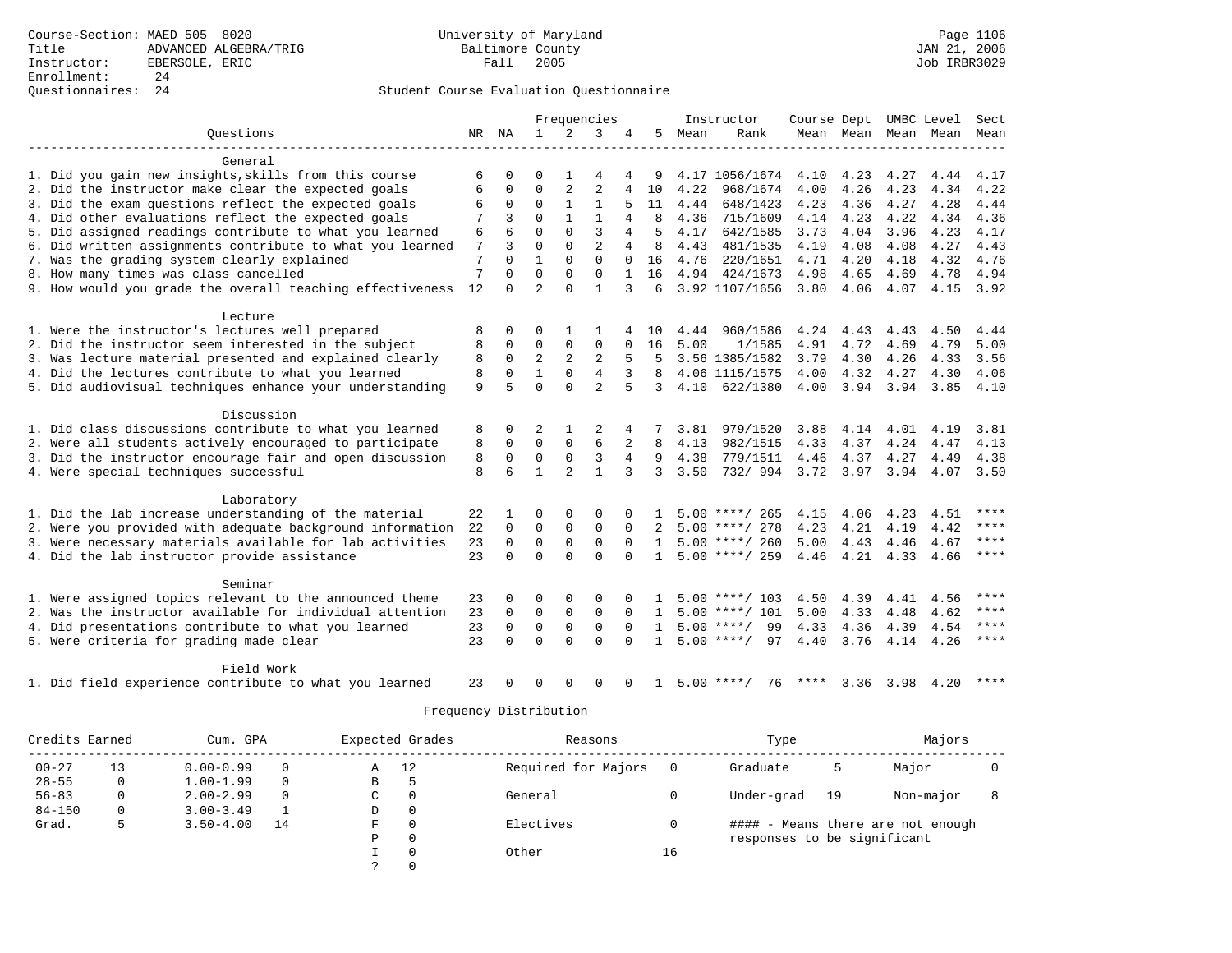## Questionnaires: 24 Student Course Evaluation Questionnaire

|                                                           |    |             | Frequencies    |                |                |                |              |      | Instructor         | Course Dept UMBC Level |                |           |                          | Sect      |
|-----------------------------------------------------------|----|-------------|----------------|----------------|----------------|----------------|--------------|------|--------------------|------------------------|----------------|-----------|--------------------------|-----------|
| Questions                                                 | NR | NA          | $\mathbf{1}$   | 2              | 3              | 4              | 5            | Mean | Rank               |                        |                |           | Mean Mean Mean Mean Mean |           |
|                                                           |    |             |                |                |                |                |              |      |                    |                        |                |           |                          |           |
| General                                                   |    |             |                |                |                |                |              |      |                    |                        |                |           |                          |           |
| 1. Did you gain new insights, skills from this course     | 6  | 0           | 0              | 1              | 4              | 4              | 9            |      | 4.17 1056/1674     | 4.10 4.23              |                | 4.27      | 4.44                     | 4.17      |
| 2. Did the instructor make clear the expected goals       | 6  | 0           | $\Omega$       | $\overline{2}$ | $\overline{a}$ | $\overline{4}$ | 10           | 4.22 | 968/1674           | 4.00                   | 4.26           | 4.23      | 4.34                     | 4.22      |
| 3. Did the exam questions reflect the expected goals      | 6  | 0           | $\Omega$       | $\mathbf{1}$   | 1              | 5              | 11           | 4.44 | 648/1423           | 4.23                   | 4.36           | 4.27      | 4.28                     | 4.44      |
| 4. Did other evaluations reflect the expected goals       |    |             | $\Omega$       | $\mathbf{1}$   | $\mathbf{1}$   |                | 8            | 4.36 | 715/1609           | 4.14                   | 4.23           | 4.22      | 4.34                     | 4.36      |
| 5. Did assigned readings contribute to what you learned   | 6  | 6           | $\Omega$       | $\Omega$       | 3              | 4              | 5            | 4.17 | 642/1585           | 3.73                   | 4.04           | 3.96      | 4.23                     | 4.17      |
| 6. Did written assignments contribute to what you learned | 7  | 3           | $\mathbf 0$    | $\mathbf 0$    | $\overline{2}$ | $\overline{4}$ | 8            | 4.43 | 481/1535           | 4.19                   | 4.08           | 4.08      | 4.27                     | 4.43      |
| 7. Was the grading system clearly explained               | 7  | $\Omega$    | $\mathbf{1}$   | $\Omega$       | $\Omega$       | $\Omega$       | 16           | 4.76 | 220/1651           | 4.71 4.20              |                | 4.18      | 4.32                     | 4.76      |
| 8. How many times was class cancelled                     | 7  | $\Omega$    | $\Omega$       | $\Omega$       | $\Omega$       | $\mathbf{1}$   | 16           |      | 4.94 424/1673      | 4.98                   | 4.65           | 4.69      | 4.78                     | 4.94      |
| 9. How would you grade the overall teaching effectiveness | 12 | $\Omega$    | $\overline{a}$ | $\Omega$       | $\mathbf{1}$   | 3              | $\epsilon$   |      | 3.92 1107/1656     | 3.80 4.06              |                | 4.07      |                          | 4.15 3.92 |
|                                                           |    |             |                |                |                |                |              |      |                    |                        |                |           |                          |           |
| Lecture                                                   |    |             |                |                |                |                |              |      |                    |                        |                |           |                          |           |
| 1. Were the instructor's lectures well prepared           | 8  | 0           | 0              | 1              | 1              |                | 10           | 4.44 | 960/1586           | 4.24 4.43              |                | 4.43      | 4.50                     | 4.44      |
| 2. Did the instructor seem interested in the subject      | 8  | $\mathbf 0$ | $\Omega$       | $\Omega$       | $\Omega$       | $\Omega$       | 16           | 5.00 | 1/1585             | 4.91                   | 4.72           | 4.69      | 4.79                     | 5.00      |
| 3. Was lecture material presented and explained clearly   | 8  | $\Omega$    | $\overline{2}$ | $\overline{a}$ | 2              | 5              | 5            |      | 3.56 1385/1582     | 3.79                   | 4.30           | 4.26      | 4.33                     | 3.56      |
| 4. Did the lectures contribute to what you learned        | 8  | $\Omega$    | $\mathbf{1}$   | $\Omega$       | $\overline{4}$ | 3              | 8            |      | 4.06 1115/1575     | 4.00                   | 4.32           | 4.27      | 4.30                     | 4.06      |
| 5. Did audiovisual techniques enhance your understanding  | 9  | 5           | $\Omega$       | $\Omega$       | $\overline{a}$ | 5              | 3            | 4.10 | 622/1380           |                        | 4.00 3.94 3.94 |           | 3.85                     | 4.10      |
|                                                           |    |             |                |                |                |                |              |      |                    |                        |                |           |                          |           |
| Discussion                                                |    |             |                |                |                |                |              |      |                    |                        |                |           |                          |           |
| 1. Did class discussions contribute to what you learned   | 8  | $\Omega$    | 2              | 1              | 2              | 4              |              | 3.81 | 979/1520           | 3.88                   | 4.14           | 4.01      | 4.19                     | 3.81      |
| 2. Were all students actively encouraged to participate   | 8  | $\Omega$    | $\Omega$       | $\mathbf 0$    | 6              | 2              | 8            | 4.13 | 982/1515           | 4.33                   | 4.37           | 4.24      | 4.47                     | 4.13      |
| 3. Did the instructor encourage fair and open discussion  | 8  | $\mathbf 0$ | $\mathbf 0$    | $\mathbf 0$    | 3              | $\overline{4}$ | 9            | 4.38 | 779/1511           | 4.46                   | 4.37           | 4.27      | 4.49                     | 4.38      |
| 4. Were special techniques successful                     | 8  | 6           | $\mathbf{1}$   | $\overline{a}$ | $\mathbf{1}$   |                | 3            | 3.50 | 732/994            | 3.72 3.97              |                | 3.94      | 4.07                     | 3.50      |
|                                                           |    |             |                |                |                |                |              |      |                    |                        |                |           |                          |           |
| Laboratory                                                |    |             |                |                |                |                |              |      |                    |                        |                |           |                          |           |
| 1. Did the lab increase understanding of the material     | 22 |             | $\Omega$       | $\Omega$       | 0              |                |              |      | $5.00$ ****/ 265   | 4.15                   | 4.06           | 4.23      | 4.51                     |           |
| 2. Were you provided with adequate background information | 22 | $\mathbf 0$ | $\mathbf 0$    | $\mathbf 0$    | $\mathbf{0}$   | $\Omega$       |              |      | $5.00$ ****/ 278   | 4.23                   | 4.21           | 4.19      | 4.42                     | ****      |
| 3. Were necessary materials available for lab activities  | 23 | $\mathbf 0$ | $\mathbf 0$    | $\mathbf 0$    | $\mathbf 0$    | $\Omega$       | $\mathbf{1}$ |      | $5.00$ ****/ 260   | 5.00                   | 4.43           | 4.46      | 4.67                     | ****      |
| 4. Did the lab instructor provide assistance              | 23 | $\Omega$    | $\Omega$       | $\Omega$       | $\Omega$       | $\Omega$       | $\mathbf{1}$ |      | $5.00$ ****/ 259   | $4.46$ $4.21$          |                | 4.33      | 4.66                     | $***$     |
|                                                           |    |             |                |                |                |                |              |      |                    |                        |                |           |                          |           |
| Seminar                                                   |    |             |                |                |                |                |              |      |                    |                        |                |           |                          |           |
| 1. Were assigned topics relevant to the announced theme   | 23 | O           | $\Omega$       | 0              | 0              |                | 1.           |      | $5.00$ ****/ 103   | 4.50                   | 4.39           | 4.41      | 4.56                     | ****      |
| 2. Was the instructor available for individual attention  | 23 | 0           | $\mathbf 0$    | 0              | $\mathbf 0$    | 0              | $\mathbf{1}$ |      | $5.00$ ****/ 101   | 5.00                   | 4.33           | 4.48      | 4.62                     | ****      |
| 4. Did presentations contribute to what you learned       | 23 | $\mathbf 0$ | $\mathbf 0$    | $\mathbf 0$    | $\mathbf 0$    | $\Omega$       | $\mathbf{1}$ |      | $5.00$ ****/<br>99 | 4.33                   | 4.36           | 4.39 4.54 |                          | $***$     |
| 5. Were criteria for grading made clear                   | 23 | $\Omega$    | $\Omega$       | $\Omega$       | $\Omega$       | $\Omega$       | $\mathbf{1}$ |      | $5.00$ ****/<br>97 | 4.40                   | 3.76           | 4.14 4.26 |                          | $***$     |
|                                                           |    |             |                |                |                |                |              |      |                    |                        |                |           |                          |           |
| Field Work                                                |    |             |                |                |                |                |              |      |                    |                        |                |           |                          |           |
| 1. Did field experience contribute to what you learned    | 23 |             | U              | ∩              | U              |                |              |      | $5.00$ ****/<br>76 |                        | 3.36           | 3.98      | 4.20                     |           |
|                                                           |    |             |                |                |                |                |              |      |                    |                        |                |           |                          |           |

| Credits Earned | Expected Grades<br>Cum. GPA |               |          | Reasons |          | Type                |     | Majors                      |    |                                   |  |
|----------------|-----------------------------|---------------|----------|---------|----------|---------------------|-----|-----------------------------|----|-----------------------------------|--|
| $00 - 27$      | 13                          | $0.00 - 0.99$ | 0        | Α       | 12       | Required for Majors | - 0 | Graduate                    | 5  | Major                             |  |
| $28 - 55$      | 0                           | $1.00 - 1.99$ | $\Omega$ | в       |          |                     |     |                             |    |                                   |  |
| $56 - 83$      | 0                           | $2.00 - 2.99$ | $\Omega$ | C       | 0        | General             |     | Under-grad                  | 19 | Non-major                         |  |
| $84 - 150$     | 0                           | $3.00 - 3.49$ |          | D       | 0        |                     |     |                             |    |                                   |  |
| Grad.          | 5                           | $3.50 - 4.00$ | 14       | F.      | $\Omega$ | Electives           |     |                             |    | #### - Means there are not enough |  |
|                |                             |               |          | Ρ       | 0        |                     |     | responses to be significant |    |                                   |  |
|                |                             |               |          |         | $\Omega$ | Other               | 16  |                             |    |                                   |  |
|                |                             |               |          |         | $\Omega$ |                     |     |                             |    |                                   |  |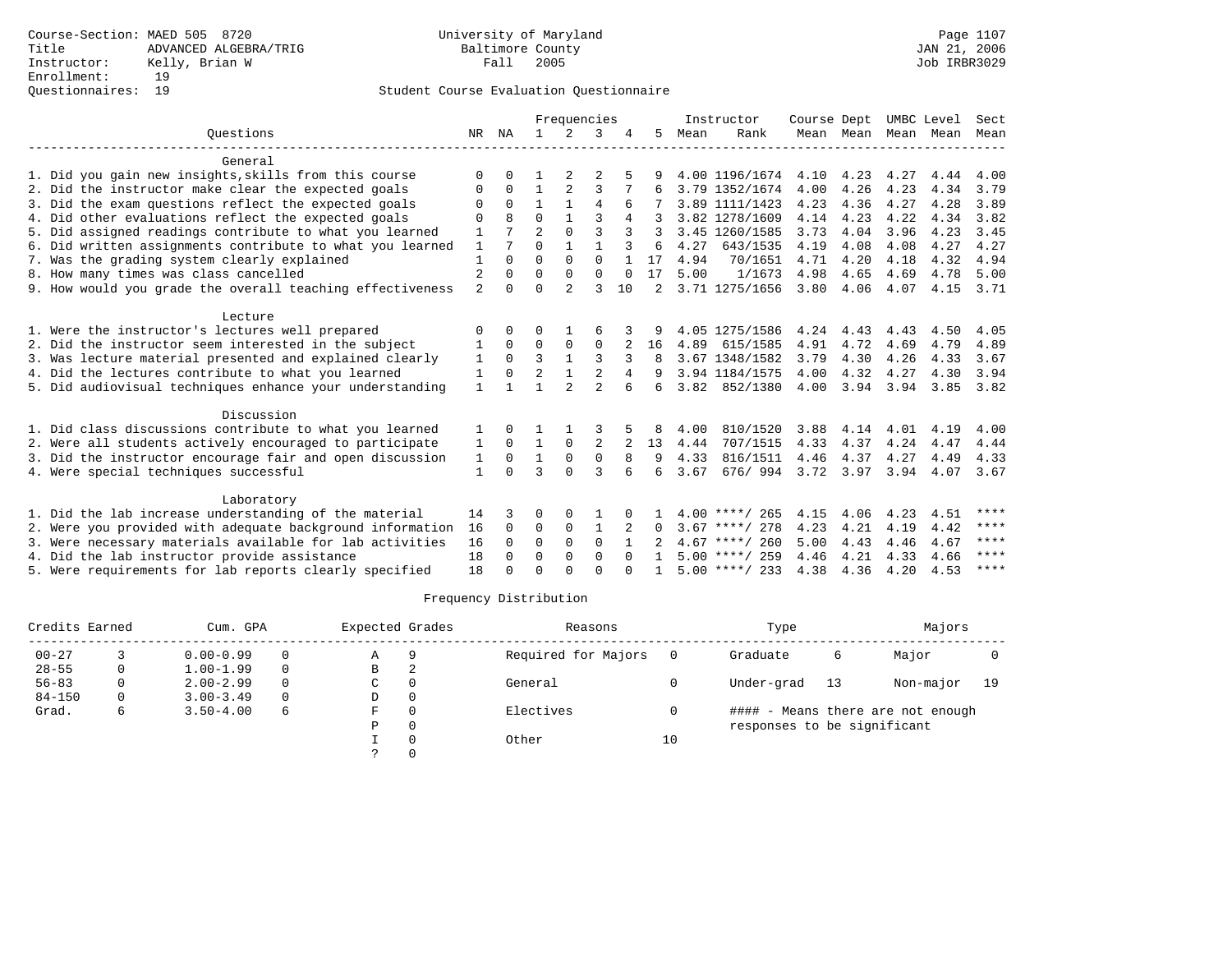## Student Course Evaluation Questionnaire

|                                                           |                | Frequencies  |                |                |                | Instructor     |          | Course Dept |                  | UMBC Level |      | Sect                |      |      |
|-----------------------------------------------------------|----------------|--------------|----------------|----------------|----------------|----------------|----------|-------------|------------------|------------|------|---------------------|------|------|
| Ouestions                                                 |                | NR NA        | $\mathbf{1}$   | 2              | 3              |                | 5        | Mean        | Rank             |            |      | Mean Mean Mean Mean |      | Mean |
| General                                                   |                |              |                |                |                |                |          |             |                  |            |      |                     |      |      |
| 1. Did you gain new insights, skills from this course     | ∩              | 0            |                | 2              |                |                |          |             | 4.00 1196/1674   | 4.10       | 4.23 | 4.27                | 4.44 | 4.00 |
| 2. Did the instructor make clear the expected goals       | $\Omega$       | 0            | 1              |                | 3              |                |          |             | 3.79 1352/1674   | 4.00       | 4.26 | 4.23                | 4.34 | 3.79 |
| 3. Did the exam questions reflect the expected goals      | O              | $\Omega$     |                |                | $\overline{4}$ | 6              |          |             | 3.89 1111/1423   | 4.23       | 4.36 | 4.27                | 4.28 | 3.89 |
| 4. Did other evaluations reflect the expected goals       | $\Omega$       | $\mathsf{R}$ | $\Omega$       |                | 3              | 4              |          |             | 3.82 1278/1609   | 4.14       | 4.23 | 4.22                | 4.34 | 3.82 |
| 5. Did assigned readings contribute to what you learned   | 1              |              | $\overline{2}$ | $\Omega$       | $\mathbf{3}$   |                | २        |             | 3.45 1260/1585   | 3.73       | 4.04 | 3.96                | 4.23 | 3.45 |
| 6. Did written assignments contribute to what you learned | $\mathbf{1}$   |              | $\Omega$       | $\mathbf{1}$   | $\mathbf{1}$   |                | 6        | 4.27        | 643/1535         | 4.19       | 4.08 | 4.08                | 4.27 | 4.27 |
| 7. Was the grading system clearly explained               | $\mathbf{1}$   |              | $\Omega$       | $\Omega$       | $\Omega$       |                | 17       | 4.94        | 70/1651          | 4.71       | 4.20 | 4.18                | 4.32 | 4.94 |
| 8. How many times was class cancelled                     | $\overline{2}$ | $\Omega$     | $\Omega$       | $\Omega$       | $\mathbf 0$    | $\Omega$       | 17       | 5.00        | 1/1673           | 4.98       | 4.65 | 4.69                | 4.78 | 5.00 |
| 9. How would you grade the overall teaching effectiveness | $\overline{a}$ | 0            | $\Omega$       | $\mathfrak{D}$ | ζ              | 10             |          |             | 3.71 1275/1656   | 3.80       | 4.06 | 4.07                | 4.15 | 3.71 |
| Lecture                                                   |                |              |                |                |                |                |          |             |                  |            |      |                     |      |      |
| 1. Were the instructor's lectures well prepared           | $\Omega$       |              | O              |                |                |                |          |             | 4.05 1275/1586   | 4.24       | 4.43 | 4.43                | 4.50 | 4.05 |
| 2. Did the instructor seem interested in the subject      | 1              | $\Omega$     | 0              | 0              | 0              |                | 16       | 4.89        | 615/1585         | 4.91       | 4.72 | 4.69                | 4.79 | 4.89 |
| 3. Was lecture material presented and explained clearly   | 1              | $\Omega$     | 3              | $\mathbf{1}$   | 3              | 3              |          |             | 3.67 1348/1582   | 3.79       | 4.30 | 4.26                | 4.33 | 3.67 |
| 4. Did the lectures contribute to what you learned        | 1              | 0            | $\overline{2}$ | 1              | 2              | 4              |          |             | 3.94 1184/1575   | 4.00       | 4.32 | 4.27                | 4.30 | 3.94 |
| 5. Did audiovisual techniques enhance your understanding  | $\mathbf{1}$   |              |                | $\mathcal{D}$  | $\mathcal{D}$  |                | 6        | 3.82        | 852/1380         | 4.00       | 3.94 | 3.94                | 3.85 | 3.82 |
| Discussion                                                |                |              |                |                |                |                |          |             |                  |            |      |                     |      |      |
| 1. Did class discussions contribute to what you learned   |                |              |                |                |                |                | 8        | 4.00        | 810/1520         | 3.88       | 4.14 | 4.01                | 4.19 | 4.00 |
| 2. Were all students actively encouraged to participate   | 1              | $\Omega$     | $\mathbf{1}$   | $\Omega$       | 2              | $\overline{a}$ | 13       | 4.44        | 707/1515         | 4.33       | 4.37 | 4.24                | 4.47 | 4.44 |
| 3. Did the instructor encourage fair and open discussion  | 1              | 0            | $\mathbf{1}$   | $\mathbf 0$    | $\mathbf 0$    | $\mathsf{R}$   | 9        | 4.33        | 816/1511         | 4.46       | 4.37 | 4.27                | 4.49 | 4.33 |
| 4. Were special techniques successful                     | $\mathbf{1}$   | $\Omega$     | ζ              | $\Omega$       | $\mathbf{3}$   |                | 6        | 3.67        | 676/994          | 3.72 3.97  |      | 3.94                | 4.07 | 3.67 |
| Laboratory                                                |                |              |                |                |                |                |          |             |                  |            |      |                     |      |      |
| 1. Did the lab increase understanding of the material     |                |              | 0              | $\Omega$       |                |                |          |             | $4.00$ ****/ 265 | 4.15       | 4.06 | 4.23                | 4.51 | **** |
| 2. Were you provided with adequate background information | 16             | $\Omega$     | 0              | $\mathbf 0$    | 1              | 2              | $\Omega$ |             | $3.67$ ****/ 278 | 4.23       | 4.21 | 4.19                | 4.42 | **** |
| 3. Were necessary materials available for lab activities  | 16             | $\Omega$     | $\Omega$       | $\Omega$       | $\Omega$       |                |          |             | $4.67$ ****/ 260 | 5.00       | 4.43 | 4.46                | 4.67 | **** |
| 4. Did the lab instructor provide assistance              | 18             | $\Omega$     | $\Omega$       | $\Omega$       | $\Omega$       | $\cap$         |          |             | $5.00$ ****/ 259 | 4.46       | 4.21 | 4.33                | 4.66 | **** |
| 5. Were requirements for lab reports clearly specified    | 18             |              | $\Omega$       | $\cap$         | $\cap$         |                |          |             | $5.00$ ****/ 233 | 4.38       | 4.36 | 4.20                | 4.53 | **** |

|            | Credits Earned<br>Cum. GPA |               |   | Expected Grades |          | Reasons             |    | Type                        | Majors |                                   |      |
|------------|----------------------------|---------------|---|-----------------|----------|---------------------|----|-----------------------------|--------|-----------------------------------|------|
| $00 - 27$  |                            | $0.00 - 0.99$ |   | Α               | g        | Required for Majors |    | Graduate                    | 6      | Major                             |      |
| $28 - 55$  | 0                          | $1.00 - 1.99$ |   | B               | 2        |                     |    |                             |        |                                   |      |
| $56 - 83$  |                            | $2.00 - 2.99$ |   | C               | 0        | General             |    | Under-grad                  | 13     | Non-major                         | - 19 |
| $84 - 150$ |                            | $3.00 - 3.49$ |   | D               | 0        |                     |    |                             |        |                                   |      |
| Grad.      | 6                          | $3.50 - 4.00$ | 6 | F               | 0        | Electives           |    |                             |        | #### - Means there are not enough |      |
|            |                            |               |   | Ρ               | 0        |                     |    | responses to be significant |        |                                   |      |
|            |                            |               |   |                 | $\Omega$ | Other               | 10 |                             |        |                                   |      |
|            |                            |               |   |                 |          |                     |    |                             |        |                                   |      |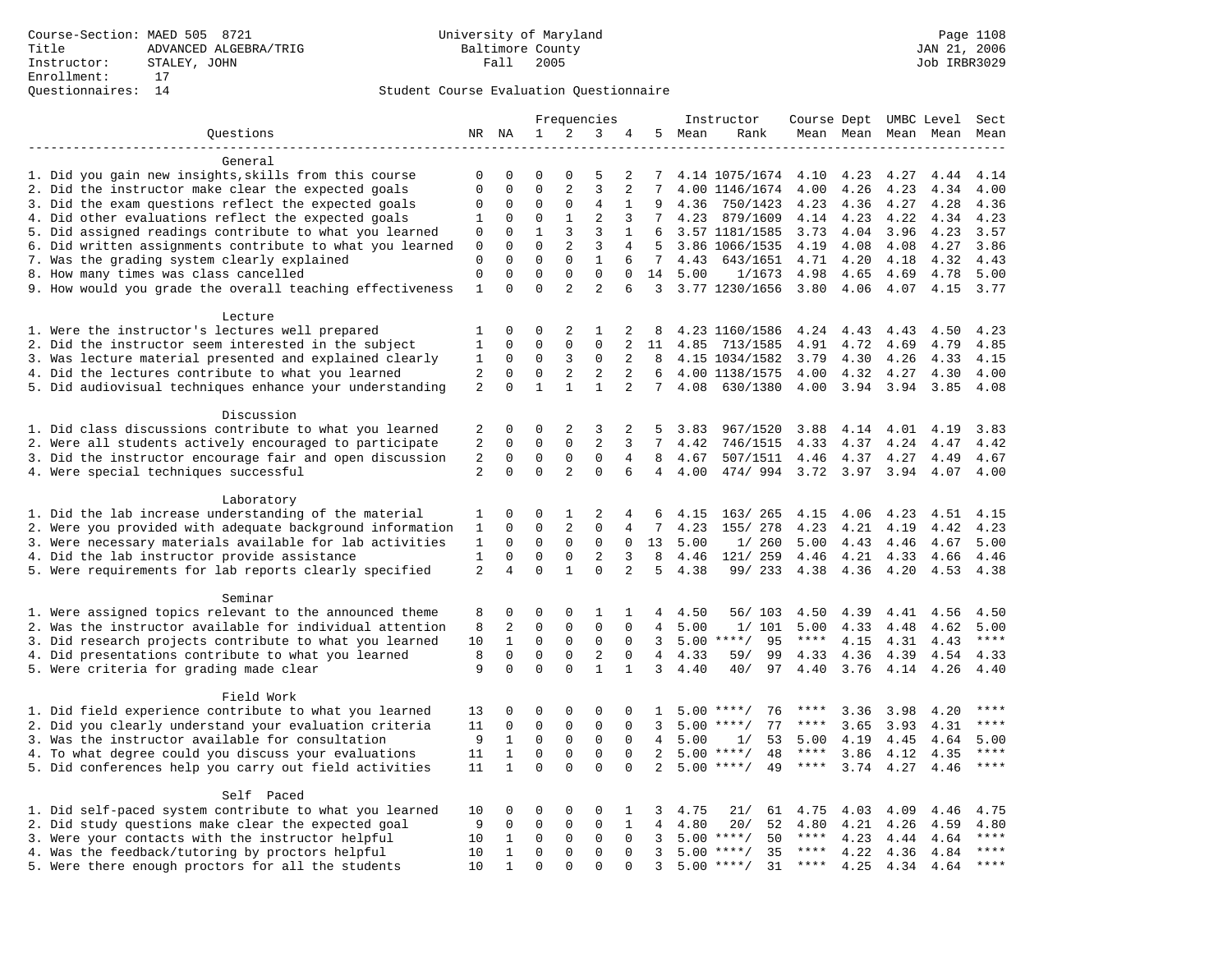## Student Course Evaluation Questionnaire

|                                                                                                         | Frequencies    |                |              | Instructor     | Course Dept UMBC Level |              |                 |        | Sect                       |              |              |                     |      |                        |
|---------------------------------------------------------------------------------------------------------|----------------|----------------|--------------|----------------|------------------------|--------------|-----------------|--------|----------------------------|--------------|--------------|---------------------|------|------------------------|
| Questions                                                                                               |                | NR NA          | $\mathbf{1}$ | 2              | 3                      | 4            |                 | 5 Mean | Rank                       |              |              | Mean Mean Mean Mean |      | Mean                   |
| -------------------                                                                                     |                |                |              |                |                        |              |                 |        |                            |              |              |                     |      |                        |
| General                                                                                                 |                |                |              |                |                        |              |                 |        |                            |              |              |                     |      |                        |
| 1. Did you gain new insights, skills from this course                                                   | 0              | 0              | 0            | $\Omega$       | 5                      | 2            | 7               |        | 4.14 1075/1674             | 4.10         | 4.23         | 4.27                | 4.44 | 4.14                   |
| 2. Did the instructor make clear the expected goals                                                     | $\mathbf{0}$   | $\mathbf 0$    | $\mathbf 0$  | $\overline{2}$ | $\overline{3}$         | 2            | 7               |        | 4.00 1146/1674             | 4.00         | 4.26         | 4.23                | 4.34 | 4.00                   |
| 3. Did the exam questions reflect the expected goals                                                    | $\mathbf 0$    | $\Omega$       | $\Omega$     | $\mathbf 0$    | 4                      | 1            | 9               | 4.36   | 750/1423                   | 4.23         | 4.36         | 4.27                | 4.28 | 4.36                   |
| 4. Did other evaluations reflect the expected goals                                                     | 1              | $\mathbf 0$    | $\mathbf 0$  | $\mathbf{1}$   | $\overline{2}$         | 3            | $7\overline{ }$ | 4.23   | 879/1609                   | 4.14         | 4.23         | 4.22                | 4.34 | 4.23                   |
| 5. Did assigned readings contribute to what you learned                                                 | $\mathbf 0$    | $\mathbf{0}$   | $\mathbf{1}$ | $\mathbf{3}$   | 3                      | $\mathbf{1}$ | 6               |        | 3.57 1181/1585             | 3.73         | 4.04         | 3.96                | 4.23 | 3.57                   |
| 6. Did written assignments contribute to what you learned                                               | 0              | $\mathbf{0}$   | $\mathbf 0$  | 2              | 3                      | 4            | 5               |        | 3.86 1066/1535             | 4.19         | 4.08         | 4.08                | 4.27 | 3.86                   |
| 7. Was the grading system clearly explained                                                             | $\mathbf 0$    | $\Omega$       | $\Omega$     | $\Omega$       | $\mathbf{1}$           | 6            | $7^{\circ}$     | 4.43   | 643/1651                   | 4.71         | 4.20         | 4.18                | 4.32 | 4.43                   |
| 8. How many times was class cancelled                                                                   | $\mathbf{0}$   | $\mathbf 0$    | $\Omega$     | $\mathbf 0$    | $\Omega$               | $\Omega$     | 14              | 5.00   | 1/1673                     | 4.98         | 4.65         | 4.69                | 4.78 | 5.00                   |
| 9. How would you grade the overall teaching effectiveness                                               | $\mathbf{1}$   | $\Omega$       | $\Omega$     | $\overline{2}$ | $\overline{a}$         | 6            |                 |        | 3 3.77 1230/1656           | 3.80         | 4.06         | 4.07                | 4.15 | 3.77                   |
| Lecture                                                                                                 |                |                |              |                |                        |              |                 |        |                            |              |              |                     |      |                        |
|                                                                                                         |                | $\mathbf 0$    | 0            | 2              | 1                      |              |                 |        |                            |              |              | 4.43                | 4.50 | 4.23                   |
| 1. Were the instructor's lectures well prepared<br>2. Did the instructor seem interested in the subject | 1<br>1         | $\mathbf 0$    | $\mathbf 0$  | $\mathbf 0$    | $\mathbf 0$            | 2<br>2       | 8<br>11         | 4.85   | 4.23 1160/1586<br>713/1585 | 4.24<br>4.91 | 4.43<br>4.72 | 4.69                | 4.79 | 4.85                   |
|                                                                                                         |                | $\mathbf 0$    | $\mathbf 0$  | 3              | $\mathbf 0$            | 2            | 8               |        |                            |              |              |                     | 4.33 | 4.15                   |
| 3. Was lecture material presented and explained clearly                                                 | 1<br>2         | $\Omega$       | $\Omega$     |                | 2                      | 2            | 6               |        | 4.15 1034/1582             | 3.79         | 4.30         | 4.26                |      | 4.00                   |
| 4. Did the lectures contribute to what you learned                                                      |                |                |              | $\overline{2}$ |                        |              |                 |        | 4.00 1138/1575             | 4.00         | 4.32         | 4.27                | 4.30 |                        |
| 5. Did audiovisual techniques enhance your understanding                                                | $\overline{2}$ | $\mathbf 0$    | $\mathbf{1}$ | $\mathbf{1}$   | $\mathbf{1}$           | 2            | $7\phantom{.0}$ | 4.08   | 630/1380                   | 4.00         | 3.94         | 3.94                | 3.85 | 4.08                   |
| Discussion                                                                                              |                |                |              |                |                        |              |                 |        |                            |              |              |                     |      |                        |
| 1. Did class discussions contribute to what you learned                                                 | 2              | $\mathbf 0$    | 0            | 2              | 3                      | 2            | 5               | 3.83   | 967/1520                   | 3.88         | 4.14         | 4.01                | 4.19 | 3.83                   |
| 2. Were all students actively encouraged to participate                                                 | 2              | $\mathbf 0$    | $\mathbf 0$  | $\mathbf 0$    | 2                      | 3            | $7\overline{ }$ | 4.42   | 746/1515                   | 4.33         | 4.37         | 4.24                | 4.47 | 4.42                   |
| 3. Did the instructor encourage fair and open discussion                                                | 2              | $\mathbf 0$    | $\mathbf 0$  | $\mathbf 0$    | $\mathbf 0$            | 4            | 8               | 4.67   | 507/1511                   | 4.46         | 4.37         | 4.27                | 4.49 | 4.67                   |
| 4. Were special techniques successful                                                                   | 2              | $\Omega$       | $\Omega$     | $\overline{2}$ | $\Omega$               | 6            | $\overline{4}$  | 4.00   | 474/994                    | 3.72         | 3.97         | 3.94                | 4.07 | 4.00                   |
|                                                                                                         |                |                |              |                |                        |              |                 |        |                            |              |              |                     |      |                        |
| Laboratory                                                                                              |                |                |              |                |                        |              |                 |        |                            |              |              |                     |      |                        |
| 1. Did the lab increase understanding of the material                                                   | 1              | $\mathbf 0$    | 0            | 1              | 2                      | 4            | 6               | 4.15   | 163/ 265                   | 4.15         | 4.06         | 4.23                | 4.51 | 4.15                   |
| 2. Were you provided with adequate background information                                               | 1              | $\mathbf 0$    | $\mathbf 0$  | 2              | $\mathbf{0}$           | 4            | 7               | 4.23   | 155/ 278                   | 4.23         | 4.21         | 4.19                | 4.42 | 4.23                   |
| 3. Were necessary materials available for lab activities                                                | 1              | $\Omega$       | $\Omega$     | $\mathbf 0$    | 0                      | $\mathbf{0}$ | 13              | 5.00   | 1/260                      | 5.00         | 4.43         | 4.46                | 4.67 | 5.00                   |
| 4. Did the lab instructor provide assistance                                                            | $\mathbf{1}$   | $\mathbf 0$    | $\mathbf 0$  | $\mathbf 0$    | $\overline{2}$         | 3            | 8               | 4.46   | 121/ 259                   | 4.46         | 4.21         | 4.33                | 4.66 | 4.46                   |
| 5. Were requirements for lab reports clearly specified                                                  | 2              | $\overline{4}$ | $\mathbf 0$  | $\mathbf{1}$   | $\Omega$               | 2            | 5               | 4.38   | 99/ 233                    | 4.38         | 4.36         | 4.20                | 4.53 | 4.38                   |
|                                                                                                         |                |                |              |                |                        |              |                 |        |                            |              |              |                     |      |                        |
| Seminar                                                                                                 |                |                |              |                |                        |              |                 |        |                            |              |              |                     |      |                        |
| 1. Were assigned topics relevant to the announced theme                                                 | 8              | $\mathbf 0$    | 0            | 0              | 1                      | 1            | 4               | 4.50   | 56/103                     | 4.50         | 4.39         | 4.41                | 4.56 | 4.50                   |
| 2. Was the instructor available for individual attention                                                | 8              | 2              | $\mathbf 0$  | $\mathbf 0$    | $\mathbf 0$            | 0            | 4               | 5.00   | 1/101                      | 5.00         | 4.33         | 4.48                | 4.62 | 5.00                   |
| 3. Did research projects contribute to what you learned                                                 | 10             | $\mathbf{1}$   | $\mathbf 0$  | $\mathsf 0$    | $\mathbf 0$            | $\mathbf 0$  | 3               |        | 95<br>$5.00$ ****/         | $***$ * * *  | 4.15         | 4.31                | 4.43 | $***$                  |
| 4. Did presentations contribute to what you learned                                                     | 8              | $\mathbf 0$    | $\mathbf 0$  | $\mathsf 0$    | 2                      | $\mathbf 0$  | $\overline{4}$  | 4.33   | 59/<br>99                  | 4.33         | 4.36         | 4.39                | 4.54 | 4.33                   |
| 5. Were criteria for grading made clear                                                                 | 9              | $\mathbf 0$    | $\Omega$     | $\Omega$       | $\mathbf{1}$           | $\mathbf{1}$ | 3               | 4.40   | 40/<br>97                  | 4.40         | 3.76         | 4.14                | 4.26 | 4.40                   |
|                                                                                                         |                |                |              |                |                        |              |                 |        |                            |              |              |                     |      |                        |
| Field Work                                                                                              |                |                |              |                |                        |              |                 |        |                            |              |              |                     |      |                        |
| 1. Did field experience contribute to what you learned                                                  | 13             | $\mathbf 0$    | 0            | 0              | 0                      | $\Omega$     | -1.             |        | $5.00$ ****/<br>76         | ****         | 3.36         | 3.98                | 4.20 | * * * *                |
| 2. Did you clearly understand your evaluation criteria                                                  | 11             | $\mathbf 0$    | $\mathbf 0$  | $\mathsf 0$    | $\mathbf 0$            | $\Omega$     | 3               |        | 77<br>$5.00$ ****/         | ****         | 3.65         | 3.93                | 4.31 | $\star\star\star\star$ |
| 3. Was the instructor available for consultation                                                        | 9              | $\mathbf{1}$   | 0            | $\mathsf 0$    | $\mathbf 0$            | $\mathbf{0}$ | 4               | 5.00   | 53<br>1/                   | 5.00         | 4.19         | 4.45                | 4.64 | 5.00                   |
| 4. To what degree could you discuss your evaluations                                                    | 11             | $\mathbf{1}$   | $\mathbf 0$  | $\mathbf 0$    | $\mathbf 0$            | 0            | 2               |        | $5.00$ ****/<br>48         | ****         | 3.86         | 4.12                | 4.35 | $***$                  |
| 5. Did conferences help you carry out field activities                                                  | 11             | $\mathbf{1}$   | $\Omega$     | $\Omega$       | $\Omega$               | $\Omega$     | 2               | 5.00   | $***$ /<br>49              | $***$ * *    | 3.74         | 4.27                | 4.46 | $***$                  |
|                                                                                                         |                |                |              |                |                        |              |                 |        |                            |              |              |                     |      |                        |
| Self Paced                                                                                              |                |                |              |                |                        |              |                 |        |                            |              |              |                     |      |                        |
| 1. Did self-paced system contribute to what you learned                                                 | 10             | $\mathbf 0$    | 0            | 0              | 0                      | 1            | 3               | 4.75   | 21/<br>61                  | 4.75         | 4.03         | 4.09                | 4.46 | 4.75                   |
| 2. Did study questions make clear the expected goal                                                     | 9              | $\mathbf 0$    | 0            | $\mathbf 0$    | $\mathbf 0$            | $\mathbf{1}$ | $\overline{4}$  | 4.80   | 20/<br>52                  | 4.80         | 4.21         | 4.26                | 4.59 | 4.80                   |
| 3. Were your contacts with the instructor helpful                                                       | 10             | 1              | 0            | $\mathbf 0$    | 0                      | $\Omega$     | 3               | 5.00   | $***$ /<br>50              | ****         | 4.23         | 4.44                | 4.64 | $***$                  |
| 4. Was the feedback/tutoring by proctors helpful                                                        | 10             | $\mathbf{1}$   | $\mathbf 0$  | $\mathbf 0$    | $\mathbf 0$            | $\mathbf{0}$ | 3               | 5.00   | $***/$<br>35               | ****         | 4.22         | 4.36                | 4.84 | ****                   |
| 5. Were there enough proctors for all the students                                                      | 10             | $\mathbf{1}$   | $\Omega$     | $\Omega$       | $\Omega$               |              | 3               |        | $5.00$ ****/<br>31         | $***$ * * *  | 4.25         | 4.34                | 4.64 | ****                   |